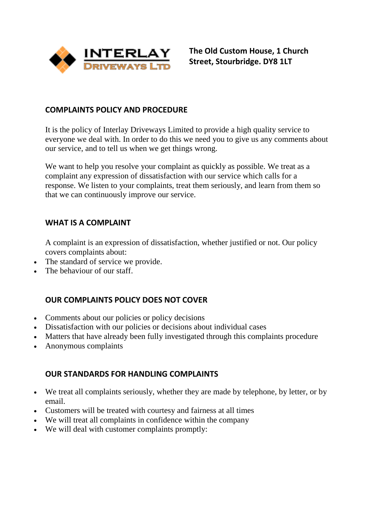

**The Old Custom House, 1 Church Street, Stourbridge. DY8 1LT**

### **COMPLAINTS POLICY AND PROCEDURE**

It is the policy of Interlay Driveways Limited to provide a high quality service to everyone we deal with. In order to do this we need you to give us any comments about our service, and to tell us when we get things wrong.

We want to help you resolve your complaint as quickly as possible. We treat as a complaint any expression of dissatisfaction with our service which calls for a response. We listen to your complaints, treat them seriously, and learn from them so that we can continuously improve our service.

### **WHAT IS A COMPLAINT**

A complaint is an expression of dissatisfaction, whether justified or not. Our policy covers complaints about:

- The standard of service we provide.
- The behaviour of our staff.

# **OUR COMPLAINTS POLICY DOES NOT COVER**

- Comments about our policies or policy decisions
- Dissatisfaction with our policies or decisions about individual cases
- Matters that have already been fully investigated through this complaints procedure
- Anonymous complaints

#### **OUR STANDARDS FOR HANDLING COMPLAINTS**

- We treat all complaints seriously, whether they are made by telephone, by letter, or by email.
- Customers will be treated with courtesy and fairness at all times
- We will treat all complaints in confidence within the company
- We will deal with customer complaints promptly: